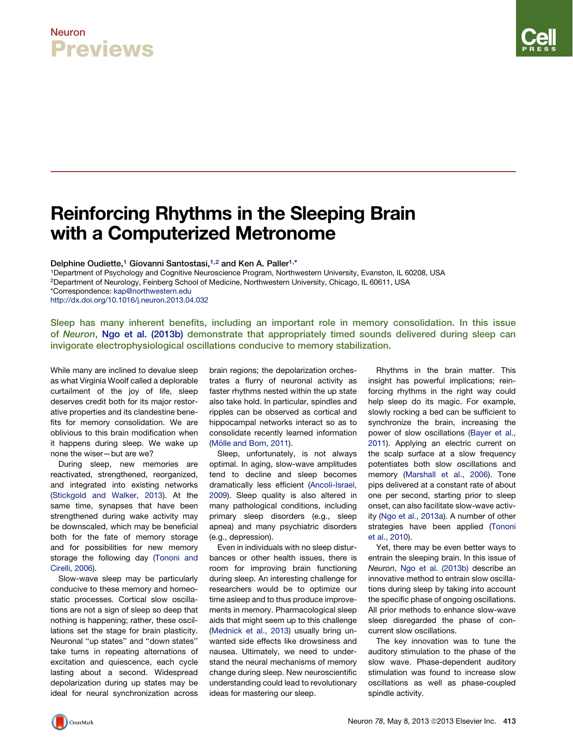### Neuron Previews

# Reinforcing Rhythms in the Sleeping Brain with a Computerized Metronome

Delphine Oudiette,<sup>1</sup> Giovanni Santostasi,<sup>1,2</sup> and Ken A. Paller<sup>1,\*</sup>

1Department of Psychology and Cognitive Neuroscience Program, Northwestern University, Evanston, IL 60208, USA

2Department of Neurology, Feinberg School of Medicine, Northwestern University, Chicago, IL 60611, USA

\*Correspondence: [kap@northwestern.edu](mailto:kap@northwestern.edu)

<http://dx.doi.org/10.1016/j.neuron.2013.04.032>

Sleep has many inherent benefits, including an important role in memory consolidation. In this issue of Neuron, [Ngo et al. \(2013b\)](#page-2-0) demonstrate that appropriately timed sounds delivered during sleep can invigorate electrophysiological oscillations conducive to memory stabilization.

While many are inclined to devalue sleep as what Virginia Woolf called a deplorable curtailment of the joy of life, sleep deserves credit both for its major restorative properties and its clandestine benefits for memory consolidation. We are oblivious to this brain modification when it happens during sleep. We wake up none the wiser—but are we?

During sleep, new memories are reactivated, strengthened, reorganized, and integrated into existing networks [\(Stickgold and Walker, 2013](#page-2-0)). At the same time, synapses that have been strengthened during wake activity may be downscaled, which may be beneficial both for the fate of memory storage and for possibilities for new memory storage the following day [\(Tononi and](#page-2-0) [Cirelli, 2006](#page-2-0)).

Slow-wave sleep may be particularly conducive to these memory and homeostatic processes. Cortical slow oscillations are not a sign of sleep so deep that nothing is happening; rather, these oscillations set the stage for brain plasticity. Neuronal ''up states'' and ''down states'' take turns in repeating alternations of excitation and quiescence, each cycle lasting about a second. Widespread depolarization during up states may be ideal for neural synchronization across

brain regions; the depolarization orchestrates a flurry of neuronal activity as faster rhythms nested within the up state also take hold. In particular, spindles and ripples can be observed as cortical and hippocampal networks interact so as to consolidate recently learned information (Mö[lle and Born, 2011\)](#page-2-0).

Sleep, unfortunately, is not always optimal. In aging, slow-wave amplitudes tend to decline and sleep becomes dramatically less efficient ([Ancoli-Israel,](#page-2-0) [2009](#page-2-0)). Sleep quality is also altered in many pathological conditions, including primary sleep disorders (e.g., sleep apnea) and many psychiatric disorders (e.g., depression).

Even in individuals with no sleep disturbances or other health issues, there is room for improving brain functioning during sleep. An interesting challenge for researchers would be to optimize our time asleep and to thus produce improvements in memory. Pharmacological sleep aids that might seem up to this challenge ([Mednick et al., 2013](#page-2-0)) usually bring unwanted side effects like drowsiness and nausea. Ultimately, we need to understand the neural mechanisms of memory change during sleep. New neuroscientific understanding could lead to revolutionary ideas for mastering our sleep.

Rhythms in the brain matter. This insight has powerful implications; reinforcing rhythms in the right way could help sleep do its magic. For example, slowly rocking a bed can be sufficient to synchronize the brain, increasing the power of slow oscillations [\(Bayer et al.,](#page-2-0) [2011\)](#page-2-0). Applying an electric current on the scalp surface at a slow frequency potentiates both slow oscillations and memory ([Marshall et al., 2006\)](#page-2-0). Tone pips delivered at a constant rate of about one per second, starting prior to sleep onset, can also facilitate slow-wave activity [\(Ngo et al., 2013a\)](#page-2-0). A number of other strategies have been applied [\(Tononi](#page-2-0) [et al., 2010\)](#page-2-0).

Yet, there may be even better ways to entrain the sleeping brain. In this issue of *Neuron*, [Ngo et al. \(2013b\)](#page-2-0) describe an innovative method to entrain slow oscillations during sleep by taking into account the specific phase of ongoing oscillations. All prior methods to enhance slow-wave sleep disregarded the phase of concurrent slow oscillations.

The key innovation was to tune the auditory stimulation to the phase of the slow wave. Phase-dependent auditory stimulation was found to increase slow oscillations as well as phase-coupled spindle activity.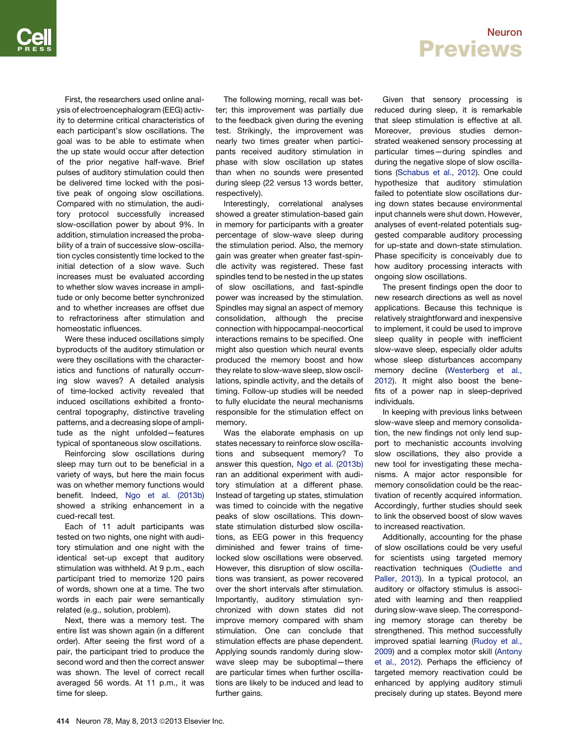Neuron **Previews** 

First, the researchers used online analysis of electroencephalogram (EEG) activity to determine critical characteristics of each participant's slow oscillations. The goal was to be able to estimate when the up state would occur after detection of the prior negative half-wave. Brief pulses of auditory stimulation could then be delivered time locked with the positive peak of ongoing slow oscillations. Compared with no stimulation, the auditory protocol successfully increased slow-oscillation power by about 9%. In addition, stimulation increased the probability of a train of successive slow-oscillation cycles consistently time locked to the initial detection of a slow wave. Such increases must be evaluated according to whether slow waves increase in amplitude or only become better synchronized and to whether increases are offset due to refractoriness after stimulation and homeostatic influences.

Were these induced oscillations simply byproducts of the auditory stimulation or were they oscillations with the characteristics and functions of naturally occurring slow waves? A detailed analysis of time-locked activity revealed that induced oscillations exhibited a frontocentral topography, distinctive traveling patterns, and a decreasing slope of amplitude as the night unfolded—features typical of spontaneous slow oscillations.

Reinforcing slow oscillations during sleep may turn out to be beneficial in a variety of ways, but here the main focus was on whether memory functions would benefit. Indeed, [Ngo et al. \(2013b\)](#page-2-0) showed a striking enhancement in a cued-recall test.

Each of 11 adult participants was tested on two nights, one night with auditory stimulation and one night with the identical set-up except that auditory stimulation was withheld. At 9 p.m., each participant tried to memorize 120 pairs of words, shown one at a time. The two words in each pair were semantically related (e.g., solution, problem).

Next, there was a memory test. The entire list was shown again (in a different order). After seeing the first word of a pair, the participant tried to produce the second word and then the correct answer was shown. The level of correct recall averaged 56 words. At 11 p.m., it was time for sleep.

The following morning, recall was better; this improvement was partially due to the feedback given during the evening test. Strikingly, the improvement was nearly two times greater when participants received auditory stimulation in phase with slow oscillation up states than when no sounds were presented during sleep (22 versus 13 words better, respectively).

Interestingly, correlational analyses showed a greater stimulation-based gain in memory for participants with a greater percentage of slow-wave sleep during the stimulation period. Also, the memory gain was greater when greater fast-spindle activity was registered. These fast spindles tend to be nested in the up states of slow oscillations, and fast-spindle power was increased by the stimulation. Spindles may signal an aspect of memory consolidation, although the precise connection with hippocampal-neocortical interactions remains to be specified. One might also question which neural events produced the memory boost and how they relate to slow-wave sleep, slow oscillations, spindle activity, and the details of timing. Follow-up studies will be needed to fully elucidate the neural mechanisms responsible for the stimulation effect on memory.

Was the elaborate emphasis on up states necessary to reinforce slow oscillations and subsequent memory? To answer this question, [Ngo et al. \(2013b\)](#page-2-0) ran an additional experiment with auditory stimulation at a different phase. Instead of targeting up states, stimulation was timed to coincide with the negative peaks of slow oscillations. This downstate stimulation disturbed slow oscillations, as EEG power in this frequency diminished and fewer trains of timelocked slow oscillations were observed. However, this disruption of slow oscillations was transient, as power recovered over the short intervals after stimulation. Importantly, auditory stimulation synchronized with down states did not improve memory compared with sham stimulation. One can conclude that stimulation effects are phase dependent. Applying sounds randomly during slowwave sleep may be suboptimal—there are particular times when further oscillations are likely to be induced and lead to further gains.

Given that sensory processing is reduced during sleep, it is remarkable that sleep stimulation is effective at all. Moreover, previous studies demonstrated weakened sensory processing at particular times—during spindles and during the negative slope of slow oscillations ([Schabus et al., 2012\)](#page-2-0). One could hypothesize that auditory stimulation failed to potentiate slow oscillations during down states because environmental input channels were shut down. However, analyses of event-related potentials suggested comparable auditory processing for up-state and down-state stimulation. Phase specificity is conceivably due to how auditory processing interacts with ongoing slow oscillations.

The present findings open the door to new research directions as well as novel applications. Because this technique is relatively straightforward and inexpensive to implement, it could be used to improve sleep quality in people with inefficient slow-wave sleep, especially older adults whose sleep disturbances accompany memory decline [\(Westerberg et al.,](#page-2-0) [2012](#page-2-0)). It might also boost the benefits of a power nap in sleep-deprived individuals.

In keeping with previous links between slow-wave sleep and memory consolidation, the new findings not only lend support to mechanistic accounts involving slow oscillations, they also provide a new tool for investigating these mechanisms. A major actor responsible for memory consolidation could be the reactivation of recently acquired information. Accordingly, further studies should seek to link the observed boost of slow waves to increased reactivation.

Additionally, accounting for the phase of slow oscillations could be very useful for scientists using targeted memory reactivation techniques [\(Oudiette and](#page-2-0) [Paller, 2013\)](#page-2-0). In a typical protocol, an auditory or olfactory stimulus is associated with learning and then reapplied during slow-wave sleep. The corresponding memory storage can thereby be strengthened. This method successfully improved spatial learning ([Rudoy et al.,](#page-2-0) [2009](#page-2-0)) and a complex motor skill [\(Antony](#page-2-0) [et al., 2012\)](#page-2-0). Perhaps the efficiency of targeted memory reactivation could be enhanced by applying auditory stimuli precisely during up states. Beyond mere